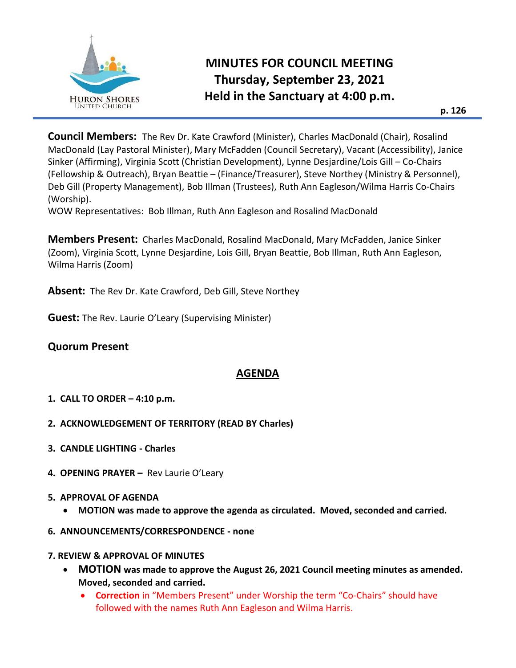

**Council Members:** The Rev Dr. Kate Crawford (Minister), Charles MacDonald (Chair), Rosalind MacDonald (Lay Pastoral Minister), Mary McFadden (Council Secretary), Vacant (Accessibility), Janice Sinker (Affirming), Virginia Scott (Christian Development), Lynne Desjardine/Lois Gill – Co-Chairs (Fellowship & Outreach), Bryan Beattie – (Finance/Treasurer), Steve Northey (Ministry & Personnel), Deb Gill (Property Management), Bob Illman (Trustees), Ruth Ann Eagleson/Wilma Harris Co-Chairs (Worship).

WOW Representatives: Bob Illman, Ruth Ann Eagleson and Rosalind MacDonald

**Members Present:** Charles MacDonald, Rosalind MacDonald, Mary McFadden, Janice Sinker (Zoom), Virginia Scott, Lynne Desjardine, Lois Gill, Bryan Beattie, Bob Illman, Ruth Ann Eagleson, Wilma Harris (Zoom)

**Absent:** The Rev Dr. Kate Crawford, Deb Gill, Steve Northey

**Guest:** The Rev. Laurie O'Leary (Supervising Minister)

# **Quorum Present**

# **AGENDA**

- **1. CALL TO ORDER – 4:10 p.m.**
- **2. ACKNOWLEDGEMENT OF TERRITORY (READ BY Charles)**
- **3. CANDLE LIGHTING - Charles**
- **4. OPENING PRAYER –** Rev Laurie O'Leary
- **5. APPROVAL OF AGENDA** 
	- **MOTION was made to approve the agenda as circulated. Moved, seconded and carried.**
- **6. ANNOUNCEMENTS/CORRESPONDENCE - none**
- **7. REVIEW & APPROVAL OF MINUTES** 
	- **MOTION was made to approve the August 26, 2021 Council meeting minutes as amended. Moved, seconded and carried.** 
		- **Correction** in "Members Present" under Worship the term "Co-Chairs" should have followed with the names Ruth Ann Eagleson and Wilma Harris.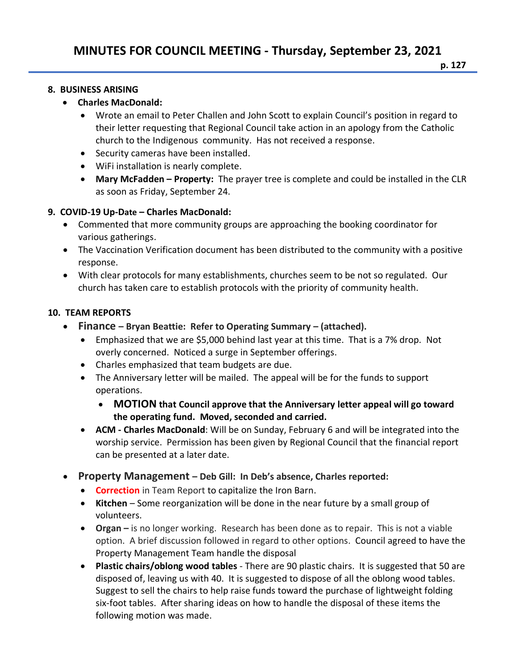#### **8. BUSINESS ARISING**

### • **Charles MacDonald:**

- Wrote an email to Peter Challen and John Scott to explain Council's position in regard to their letter requesting that Regional Council take action in an apology from the Catholic church to the Indigenous community. Has not received a response.
- Security cameras have been installed.
- WiFi installation is nearly complete.
- **Mary McFadden – Property:** The prayer tree is complete and could be installed in the CLR as soon as Friday, September 24.

## **9. COVID-19 Up-Date – Charles MacDonald:**

- Commented that more community groups are approaching the booking coordinator for various gatherings.
- The Vaccination Verification document has been distributed to the community with a positive response.
- With clear protocols for many establishments, churches seem to be not so regulated. Our church has taken care to establish protocols with the priority of community health.

## **10. TEAM REPORTS**

- **Finance – Bryan Beattie: Refer to Operating Summary – (attached).**
	- Emphasized that we are \$5,000 behind last year at this time. That is a 7% drop. Not overly concerned. Noticed a surge in September offerings.
	- Charles emphasized that team budgets are due.
	- The Anniversary letter will be mailed. The appeal will be for the funds to support operations.
		- **MOTION that Council approve that the Anniversary letter appeal will go toward the operating fund. Moved, seconded and carried.**
	- **ACM - Charles MacDonald**: Will be on Sunday, February 6 and will be integrated into the worship service. Permission has been given by Regional Council that the financial report can be presented at a later date.
- **Property Management – Deb Gill: In Deb's absence, Charles reported:**
	- **Correction** in Team Report to capitalize the Iron Barn.
	- **Kitchen**  Some reorganization will be done in the near future by a small group of volunteers.
	- **Organ –** is no longer working. Research has been done as to repair. This is not a viable option. A brief discussion followed in regard to other options. Council agreed to have the Property Management Team handle the disposal
	- **Plastic chairs/oblong wood tables** There are 90 plastic chairs. It is suggested that 50 are disposed of, leaving us with 40. It is suggested to dispose of all the oblong wood tables. Suggest to sell the chairs to help raise funds toward the purchase of lightweight folding six-foot tables. After sharing ideas on how to handle the disposal of these items the following motion was made.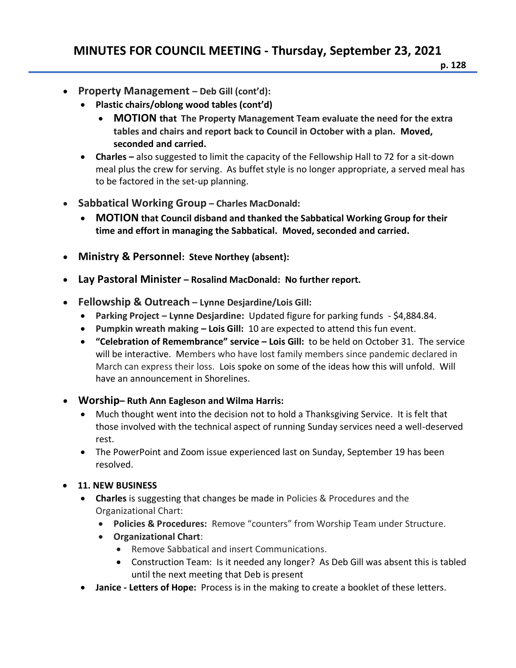- **Property Management – Deb Gill (cont'd):** 
	- **Plastic chairs/oblong wood tables (cont'd)**
		- **MOTION that The Property Management Team evaluate the need for the extra tables and chairs and report back to Council in October with a plan. Moved, seconded and carried.**
	- **Charles** also suggested to limit the capacity of the Fellowship Hall to 72 for a sit-down meal plus the crew for serving. As buffet style is no longer appropriate, a served meal has to be factored in the set-up planning.
- **Sabbatical Working Group – Charles MacDonald:**
	- **MOTION that Council disband and thanked the Sabbatical Working Group for their time and effort in managing the Sabbatical. Moved, seconded and carried.**
- **Ministry & Personnel: Steve Northey (absent):**
- **Lay Pastoral Minister – Rosalind MacDonald: No further report.**
- **Fellowship & Outreach – Lynne Desjardine/Lois Gill:**
	- **Parking Project – Lynne Desjardine:** Updated figure for parking funds \$4,884.84.
	- **Pumpkin wreath making – Lois Gill:** 10 are expected to attend this fun event.
	- **"Celebration of Remembrance" service – Lois Gill:** to be held on October 31. The service will be interactive. Members who have lost family members since pandemic declared in March can express their loss. Lois spoke on some of the ideas how this will unfold. Will have an announcement in Shorelines.
- **Worship– Ruth Ann Eagleson and Wilma Harris:** 
	- Much thought went into the decision not to hold a Thanksgiving Service. It is felt that those involved with the technical aspect of running Sunday services need a well-deserved rest.
	- The PowerPoint and Zoom issue experienced last on Sunday, September 19 has been resolved.
- **11. NEW BUSINESS**
	- **Charles** is suggesting that changes be made in Policies & Procedures and the Organizational Chart:
		- **Policies & Procedures:** Remove "counters" from Worship Team under Structure.
		- **Organizational Chart**:
			- Remove Sabbatical and insert Communications.
			- Construction Team: Is it needed any longer? As Deb Gill was absent this is tabled until the next meeting that Deb is present
	- **Janice - Letters of Hope:** Process is in the making to create a booklet of these letters.